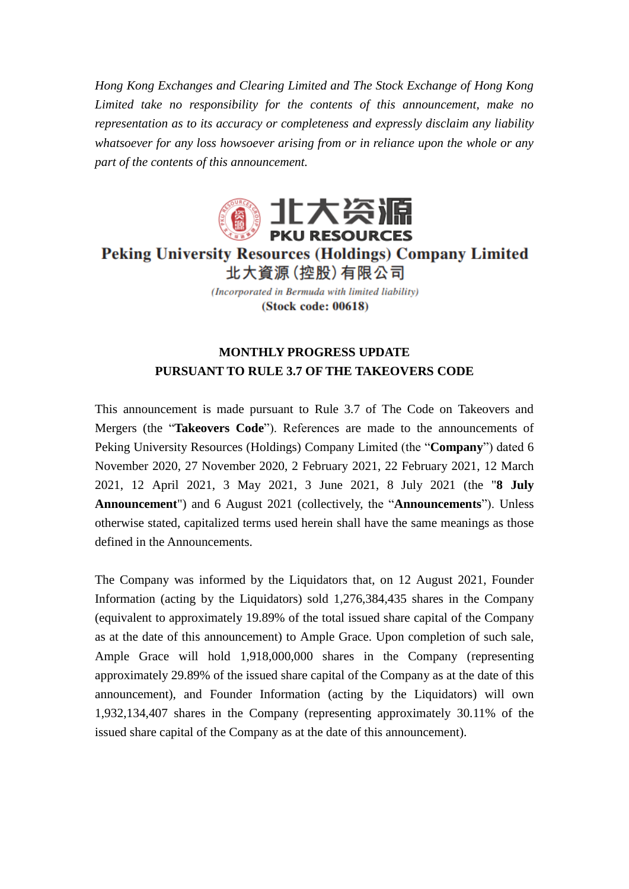*Hong Kong Exchanges and Clearing Limited and The Stock Exchange of Hong Kong Limited take no responsibility for the contents of this announcement, make no representation as to its accuracy or completeness and expressly disclaim any liability whatsoever for any loss howsoever arising from or in reliance upon the whole or any part of the contents of this announcement.*



**Peking University Resources (Holdings) Company Limited** 北大資源 (控股) 有限公司

> (Incorporated in Bermuda with limited liability) (Stock code: 00618)

## **MONTHLY PROGRESS UPDATE PURSUANT TO RULE 3.7 OF THE TAKEOVERS CODE**

This announcement is made pursuant to Rule 3.7 of The Code on Takeovers and Mergers (the "**Takeovers Code**"). References are made to the announcements of Peking University Resources (Holdings) Company Limited (the "**Company**") dated 6 November 2020, 27 November 2020, 2 February 2021, 22 February 2021, 12 March 2021, 12 April 2021, 3 May 2021, 3 June 2021, 8 July 2021 (the "**8 July Announcement**") and 6 August 2021 (collectively, the "**Announcements**"). Unless otherwise stated, capitalized terms used herein shall have the same meanings as those defined in the Announcements.

The Company was informed by the Liquidators that, on 12 August 2021, Founder Information (acting by the Liquidators) sold 1,276,384,435 shares in the Company (equivalent to approximately 19.89% of the total issued share capital of the Company as at the date of this announcement) to Ample Grace. Upon completion of such sale, Ample Grace will hold 1,918,000,000 shares in the Company (representing approximately 29.89% of the issued share capital of the Company as at the date of this announcement), and Founder Information (acting by the Liquidators) will own 1,932,134,407 shares in the Company (representing approximately 30.11% of the issued share capital of the Company as at the date of this announcement).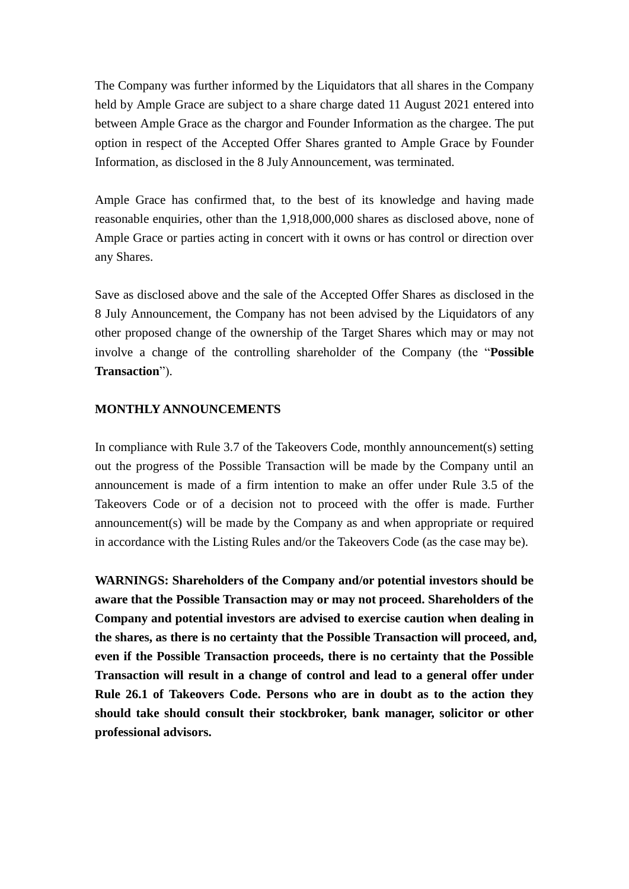The Company was further informed by the Liquidators that all shares in the Company held by Ample Grace are subject to a share charge dated 11 August 2021 entered into between Ample Grace as the chargor and Founder Information as the chargee. The put option in respect of the Accepted Offer Shares granted to Ample Grace by Founder Information, as disclosed in the 8 July Announcement, was terminated.

Ample Grace has confirmed that, to the best of its knowledge and having made reasonable enquiries, other than the 1,918,000,000 shares as disclosed above, none of Ample Grace or parties acting in concert with it owns or has control or direction over any Shares.

Save as disclosed above and the sale of the Accepted Offer Shares as disclosed in the 8 July Announcement, the Company has not been advised by the Liquidators of any other proposed change of the ownership of the Target Shares which may or may not involve a change of the controlling shareholder of the Company (the "**Possible Transaction**").

## **MONTHLY ANNOUNCEMENTS**

In compliance with Rule 3.7 of the Takeovers Code, monthly announcement(s) setting out the progress of the Possible Transaction will be made by the Company until an announcement is made of a firm intention to make an offer under Rule 3.5 of the Takeovers Code or of a decision not to proceed with the offer is made. Further announcement(s) will be made by the Company as and when appropriate or required in accordance with the Listing Rules and/or the Takeovers Code (as the case may be).

**WARNINGS: Shareholders of the Company and/or potential investors should be aware that the Possible Transaction may or may not proceed. Shareholders of the Company and potential investors are advised to exercise caution when dealing in the shares, as there is no certainty that the Possible Transaction will proceed, and, even if the Possible Transaction proceeds, there is no certainty that the Possible Transaction will result in a change of control and lead to a general offer under Rule 26.1 of Takeovers Code. Persons who are in doubt as to the action they should take should consult their stockbroker, bank manager, solicitor or other professional advisors.**